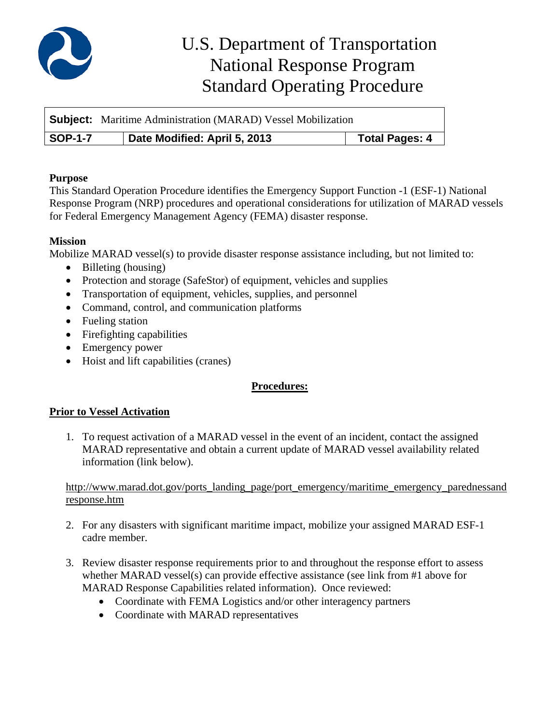

# U.S. Department of Transportation National Response Program Standard Operating Procedure

|                | <b>Subject:</b> Maritime Administration (MARAD) Vessel Mobilization |                       |
|----------------|---------------------------------------------------------------------|-----------------------|
| <b>SOP-1-7</b> | Date Modified: April 5, 2013                                        | <b>Total Pages: 4</b> |

## **Purpose**

This Standard Operation Procedure identifies the Emergency Support Function -1 (ESF-1) National Response Program (NRP) procedures and operational considerations for utilization of MARAD vessels for Federal Emergency Management Agency (FEMA) disaster response.

# **Mission**

Mobilize MARAD vessel(s) to provide disaster response assistance including, but not limited to:

- Billeting (housing)
- Protection and storage (SafeStor) of equipment, vehicles and supplies
- Transportation of equipment, vehicles, supplies, and personnel
- Command, control, and communication platforms
- Fueling station
- Firefighting capabilities
- Emergency power
- Hoist and lift capabilities (cranes)

# **Procedures:**

# **Prior to Vessel Activation**

1. To request activation of a MARAD vessel in the event of an incident, contact the assigned MARAD representative and obtain a current update of MARAD vessel availability related information (link below).

## http://www.marad.dot.gov/ports\_landing\_page/port\_emergency/maritime\_emergency\_parednessand response.htm

- 2. For any disasters with significant maritime impact, mobilize your assigned MARAD ESF-1 cadre member.
- 3. Review disaster response requirements prior to and throughout the response effort to assess whether MARAD vessel(s) can provide effective assistance (see link from #1 above for MARAD Response Capabilities related information). Once reviewed:
	- Coordinate with FEMA Logistics and/or other interagency partners
	- Coordinate with MARAD representatives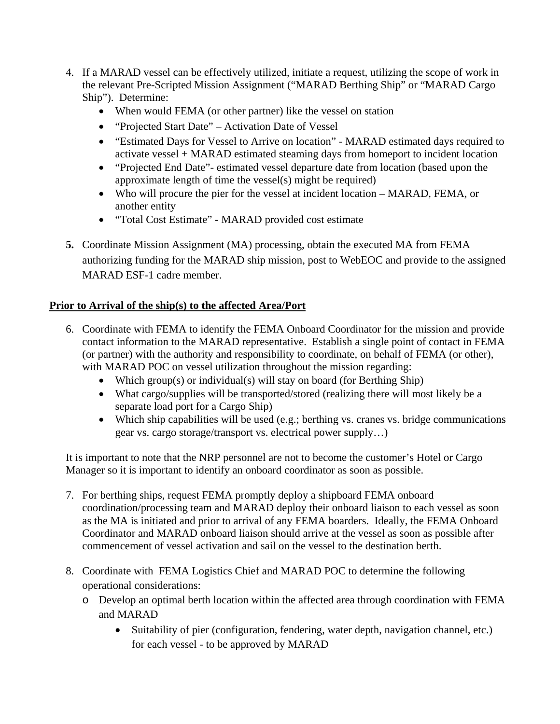- 4. If a MARAD vessel can be effectively utilized, initiate a request, utilizing the scope of work in the relevant Pre-Scripted Mission Assignment ("MARAD Berthing Ship" or "MARAD Cargo Ship"). Determine:
	- When would FEMA (or other partner) like the vessel on station
	- "Projected Start Date" Activation Date of Vessel
	- "Estimated Days for Vessel to Arrive on location" MARAD estimated days required to activate vessel + MARAD estimated steaming days from homeport to incident location
	- "Projected End Date"- estimated vessel departure date from location (based upon the approximate length of time the vessel(s) might be required)
	- Who will procure the pier for the vessel at incident location MARAD, FEMA, or another entity
	- "Total Cost Estimate" MARAD provided cost estimate
- **5.** Coordinate Mission Assignment (MA) processing, obtain the executed MA from FEMA authorizing funding for the MARAD ship mission, post to WebEOC and provide to the assigned MARAD ESF-1 cadre member.

# **Prior to Arrival of the ship(s) to the affected Area/Port**

- 6. Coordinate with FEMA to identify the FEMA Onboard Coordinator for the mission and provide contact information to the MARAD representative. Establish a single point of contact in FEMA (or partner) with the authority and responsibility to coordinate, on behalf of FEMA (or other), with MARAD POC on vessel utilization throughout the mission regarding:
	- Which group(s) or individual(s) will stay on board (for Berthing Ship)
	- What cargo/supplies will be transported/stored (realizing there will most likely be a separate load port for a Cargo Ship)
	- Which ship capabilities will be used (e.g.; berthing vs. cranes vs. bridge communications gear vs. cargo storage/transport vs. electrical power supply…)

It is important to note that the NRP personnel are not to become the customer's Hotel or Cargo Manager so it is important to identify an onboard coordinator as soon as possible.

- 7. For berthing ships, request FEMA promptly deploy a shipboard FEMA onboard coordination/processing team and MARAD deploy their onboard liaison to each vessel as soon as the MA is initiated and prior to arrival of any FEMA boarders. Ideally, the FEMA Onboard Coordinator and MARAD onboard liaison should arrive at the vessel as soon as possible after commencement of vessel activation and sail on the vessel to the destination berth.
- 8. Coordinate with FEMA Logistics Chief and MARAD POC to determine the following operational considerations:
	- o Develop an optimal berth location within the affected area through coordination with FEMA and MARAD
		- Suitability of pier (configuration, fendering, water depth, navigation channel, etc.) for each vessel - to be approved by MARAD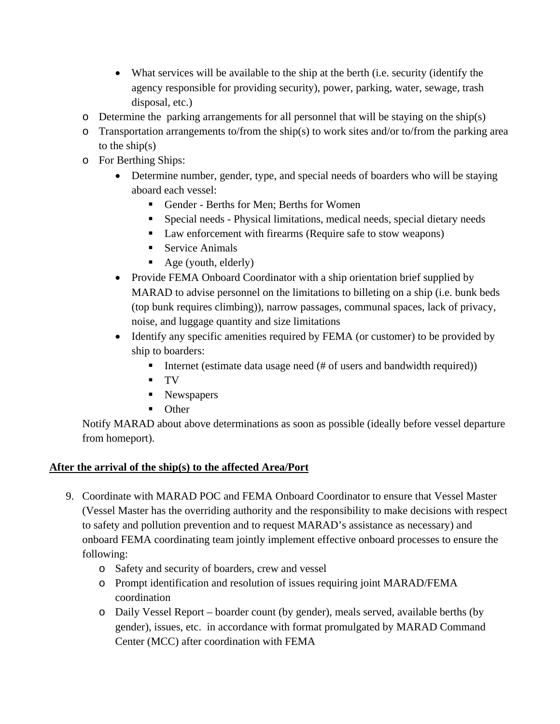- What services will be available to the ship at the berth (i.e. security (identify the agency responsible for providing security), power, parking, water, sewage, trash disposal, etc.)
- o Determine the parking arrangements for all personnel that will be staying on the ship(s)
- $\circ$  Transportation arrangements to/from the ship(s) to work sites and/or to/from the parking area to the ship(s)
- o For Berthing Ships:
	- Determine number, gender, type, and special needs of boarders who will be staying aboard each vessel:
		- Gender Berths for Men; Berths for Women
		- Special needs Physical limitations, medical needs, special dietary needs
		- Law enforcement with firearms (Require safe to stow weapons)
		- Service Animals
		- $\blacksquare$  Age (youth, elderly)
	- Provide FEMA Onboard Coordinator with a ship orientation brief supplied by MARAD to advise personnel on the limitations to billeting on a ship (i.e. bunk beds (top bunk requires climbing)), narrow passages, communal spaces, lack of privacy, noise, and luggage quantity and size limitations
	- Identify any specific amenities required by FEMA (or customer) to be provided by ship to boarders:
		- Internet (estimate data usage need  $(\#$  of users and bandwidth required))
		- TV
		- Newspapers
		- **Other**

Notify MARAD about above determinations as soon as possible (ideally before vessel departure from homeport).

# **After the arrival of the ship(s) to the affected Area/Port**

- 9. Coordinate with MARAD POC and FEMA Onboard Coordinator to ensure that Vessel Master (Vessel Master has the overriding authority and the responsibility to make decisions with respect to safety and pollution prevention and to request MARAD's assistance as necessary) and onboard FEMA coordinating team jointly implement effective onboard processes to ensure the following:
	- o Safety and security of boarders, crew and vessel
	- o Prompt identification and resolution of issues requiring joint MARAD/FEMA coordination
	- o Daily Vessel Report boarder count (by gender), meals served, available berths (by gender), issues, etc. in accordance with format promulgated by MARAD Command Center (MCC) after coordination with FEMA